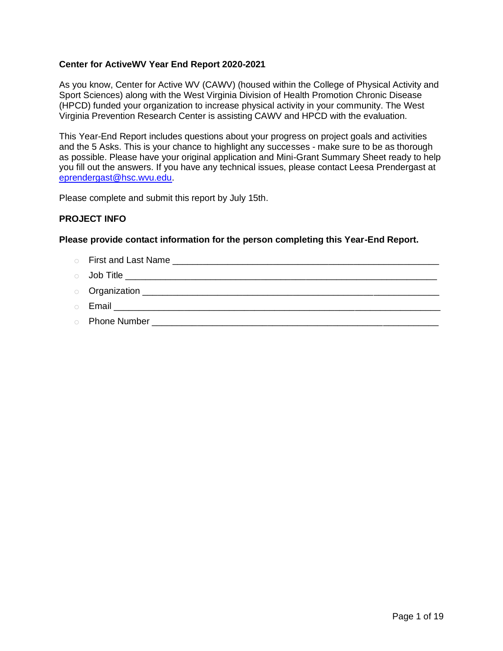#### **Center for ActiveWV Year End Report 2020-2021**

As you know, Center for Active WV (CAWV) (housed within the College of Physical Activity and Sport Sciences) along with the West Virginia Division of Health Promotion Chronic Disease (HPCD) funded your organization to increase physical activity in your community. The West Virginia Prevention Research Center is assisting CAWV and HPCD with the evaluation.

This Year-End Report includes questions about your progress on project goals and activities and the 5 Asks. This is your chance to highlight any successes - make sure to be as thorough as possible. Please have your original application and Mini-Grant Summary Sheet ready to help you fill out the answers. If you have any technical issues, please contact Leesa Prendergast at [eprendergast@hsc.wvu.edu.](mailto:eprendergast@hsc.wvu.edu)

Please complete and submit this report by July 15th.

## **PROJECT INFO**

#### **Please provide contact information for the person completing this Year-End Report.**

o First and Last Name \_\_\_\_\_\_\_\_\_\_\_\_\_\_\_\_\_\_\_\_\_\_\_\_\_\_\_\_\_\_\_\_\_\_\_\_\_\_\_\_\_\_\_\_\_\_\_\_\_\_\_\_\_ o Job Title \_\_\_\_\_\_\_\_\_\_\_\_\_\_\_\_\_\_\_\_\_\_\_\_\_\_\_\_\_\_\_\_\_\_\_\_\_\_\_\_\_\_\_\_\_\_\_\_\_\_\_\_\_\_\_\_\_\_\_\_\_\_  $\circ$  Organization  $\Box$ o Email \_\_\_\_\_\_\_\_\_\_\_\_\_\_\_\_\_\_\_\_\_\_\_\_\_\_\_\_\_\_\_\_\_\_\_\_\_\_\_\_\_\_\_\_\_\_\_\_\_\_\_\_\_\_\_\_\_\_\_\_\_\_\_\_\_ o Phone Number \_\_\_\_\_\_\_\_\_\_\_\_\_\_\_\_\_\_\_\_\_\_\_\_\_\_\_\_\_\_\_\_\_\_\_\_\_\_\_\_\_\_\_\_\_\_\_\_\_\_\_\_\_\_\_\_\_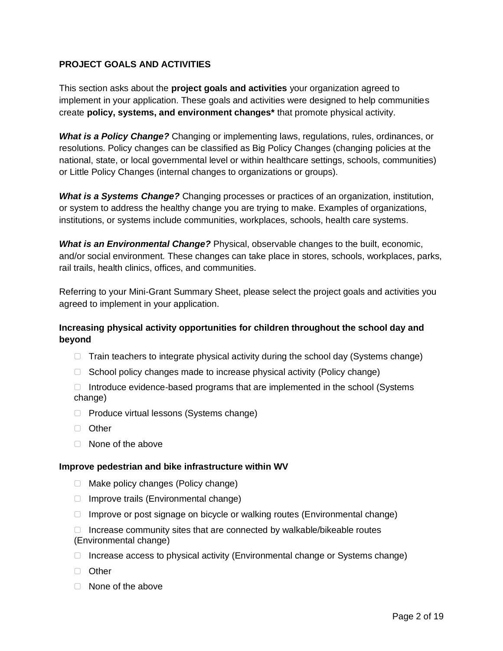# **PROJECT GOALS AND ACTIVITIES**

This section asks about the **project goals and activities** your organization agreed to implement in your application. These goals and activities were designed to help communities create **policy, systems, and environment changes\*** that promote physical activity.

*What is a Policy Change?* Changing or implementing laws, regulations, rules, ordinances, or resolutions. Policy changes can be classified as Big Policy Changes (changing policies at the national, state, or local governmental level or within healthcare settings, schools, communities) or Little Policy Changes (internal changes to organizations or groups).

*What is a Systems Change?* Changing processes or practices of an organization, institution, or system to address the healthy change you are trying to make. Examples of organizations, institutions, or systems include communities, workplaces, schools, health care systems.

*What is an Environmental Change?* Physical, observable changes to the built, economic, and/or social environment. These changes can take place in stores, schools, workplaces, parks, rail trails, health clinics, offices, and communities.

Referring to your Mini-Grant Summary Sheet, please select the project goals and activities you agreed to implement in your application.

# **Increasing physical activity opportunities for children throughout the school day and beyond**

- ▢ Train teachers to integrate physical activity during the school day (Systems change)
- ▢ School policy changes made to increase physical activity (Policy change)
- ▢ Introduce evidence-based programs that are implemented in the school (Systems change)
- ▢ Produce virtual lessons (Systems change)
- ▢ Other
- □ None of the above

#### **Improve pedestrian and bike infrastructure within WV**

- ▢ Make policy changes (Policy change)
- ▢ Improve trails (Environmental change)
- ▢ Improve or post signage on bicycle or walking routes (Environmental change)
- ▢ Increase community sites that are connected by walkable/bikeable routes (Environmental change)
- ▢ Increase access to physical activity (Environmental change or Systems change)
- ▢ Other
- ▢ None of the above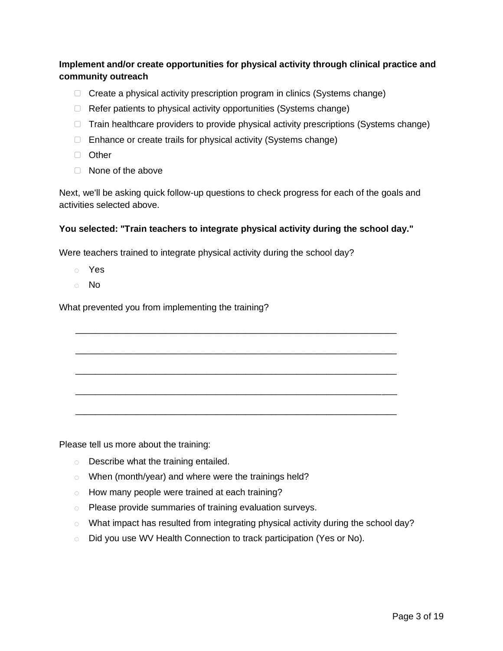# **Implement and/or create opportunities for physical activity through clinical practice and community outreach**

- ▢ Create a physical activity prescription program in clinics (Systems change)
- ▢ Refer patients to physical activity opportunities (Systems change)
- ▢ Train healthcare providers to provide physical activity prescriptions (Systems change)
- ▢ Enhance or create trails for physical activity (Systems change)
- ▢ Other
- □ None of the above

Next, we'll be asking quick follow-up questions to check progress for each of the goals and activities selected above.

## **You selected: "Train teachers to integrate physical activity during the school day."**

\_\_\_\_\_\_\_\_\_\_\_\_\_\_\_\_\_\_\_\_\_\_\_\_\_\_\_\_\_\_\_\_\_\_\_\_\_\_\_\_\_\_\_\_\_\_\_\_\_\_\_\_\_\_\_\_\_\_\_\_\_\_\_\_

\_\_\_\_\_\_\_\_\_\_\_\_\_\_\_\_\_\_\_\_\_\_\_\_\_\_\_\_\_\_\_\_\_\_\_\_\_\_\_\_\_\_\_\_\_\_\_\_\_\_\_\_\_\_\_\_\_\_\_\_\_\_\_\_

\_\_\_\_\_\_\_\_\_\_\_\_\_\_\_\_\_\_\_\_\_\_\_\_\_\_\_\_\_\_\_\_\_\_\_\_\_\_\_\_\_\_\_\_\_\_\_\_\_\_\_\_\_\_\_\_\_\_\_\_\_\_\_\_

\_\_\_\_\_\_\_\_\_\_\_\_\_\_\_\_\_\_\_\_\_\_\_\_\_\_\_\_\_\_\_\_\_\_\_\_\_\_\_\_\_\_\_\_\_\_\_\_\_\_\_\_\_\_\_\_\_\_\_\_\_\_\_\_

\_\_\_\_\_\_\_\_\_\_\_\_\_\_\_\_\_\_\_\_\_\_\_\_\_\_\_\_\_\_\_\_\_\_\_\_\_\_\_\_\_\_\_\_\_\_\_\_\_\_\_\_\_\_\_\_\_\_\_\_\_\_\_\_

Were teachers trained to integrate physical activity during the school day?

- o Yes
- o No

What prevented you from implementing the training?

Please tell us more about the training:

- o Describe what the training entailed.
- o When (month/year) and where were the trainings held?
- o How many people were trained at each training?
- o Please provide summaries of training evaluation surveys.
- $\circ$  What impact has resulted from integrating physical activity during the school day?
- o Did you use WV Health Connection to track participation (Yes or No).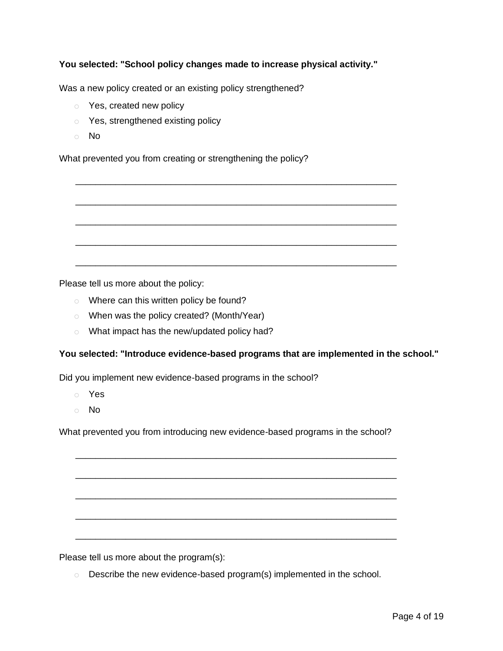# **You selected: "School policy changes made to increase physical activity."**

\_\_\_\_\_\_\_\_\_\_\_\_\_\_\_\_\_\_\_\_\_\_\_\_\_\_\_\_\_\_\_\_\_\_\_\_\_\_\_\_\_\_\_\_\_\_\_\_\_\_\_\_\_\_\_\_\_\_\_\_\_\_\_\_

\_\_\_\_\_\_\_\_\_\_\_\_\_\_\_\_\_\_\_\_\_\_\_\_\_\_\_\_\_\_\_\_\_\_\_\_\_\_\_\_\_\_\_\_\_\_\_\_\_\_\_\_\_\_\_\_\_\_\_\_\_\_\_\_

\_\_\_\_\_\_\_\_\_\_\_\_\_\_\_\_\_\_\_\_\_\_\_\_\_\_\_\_\_\_\_\_\_\_\_\_\_\_\_\_\_\_\_\_\_\_\_\_\_\_\_\_\_\_\_\_\_\_\_\_\_\_\_\_

\_\_\_\_\_\_\_\_\_\_\_\_\_\_\_\_\_\_\_\_\_\_\_\_\_\_\_\_\_\_\_\_\_\_\_\_\_\_\_\_\_\_\_\_\_\_\_\_\_\_\_\_\_\_\_\_\_\_\_\_\_\_\_\_

\_\_\_\_\_\_\_\_\_\_\_\_\_\_\_\_\_\_\_\_\_\_\_\_\_\_\_\_\_\_\_\_\_\_\_\_\_\_\_\_\_\_\_\_\_\_\_\_\_\_\_\_\_\_\_\_\_\_\_\_\_\_\_\_

Was a new policy created or an existing policy strengthened?

- o Yes, created new policy
- o Yes, strengthened existing policy
- o No

What prevented you from creating or strengthening the policy?

Please tell us more about the policy:

- o Where can this written policy be found?
- o When was the policy created? (Month/Year)
- o What impact has the new/updated policy had?

#### **You selected: "Introduce evidence-based programs that are implemented in the school."**

Did you implement new evidence-based programs in the school?

- o Yes
- o No

What prevented you from introducing new evidence-based programs in the school?

\_\_\_\_\_\_\_\_\_\_\_\_\_\_\_\_\_\_\_\_\_\_\_\_\_\_\_\_\_\_\_\_\_\_\_\_\_\_\_\_\_\_\_\_\_\_\_\_\_\_\_\_\_\_\_\_\_\_\_\_\_\_\_\_

\_\_\_\_\_\_\_\_\_\_\_\_\_\_\_\_\_\_\_\_\_\_\_\_\_\_\_\_\_\_\_\_\_\_\_\_\_\_\_\_\_\_\_\_\_\_\_\_\_\_\_\_\_\_\_\_\_\_\_\_\_\_\_\_

\_\_\_\_\_\_\_\_\_\_\_\_\_\_\_\_\_\_\_\_\_\_\_\_\_\_\_\_\_\_\_\_\_\_\_\_\_\_\_\_\_\_\_\_\_\_\_\_\_\_\_\_\_\_\_\_\_\_\_\_\_\_\_\_

\_\_\_\_\_\_\_\_\_\_\_\_\_\_\_\_\_\_\_\_\_\_\_\_\_\_\_\_\_\_\_\_\_\_\_\_\_\_\_\_\_\_\_\_\_\_\_\_\_\_\_\_\_\_\_\_\_\_\_\_\_\_\_\_

\_\_\_\_\_\_\_\_\_\_\_\_\_\_\_\_\_\_\_\_\_\_\_\_\_\_\_\_\_\_\_\_\_\_\_\_\_\_\_\_\_\_\_\_\_\_\_\_\_\_\_\_\_\_\_\_\_\_\_\_\_\_\_\_

Please tell us more about the program(s):

 $\circ$  Describe the new evidence-based program(s) implemented in the school.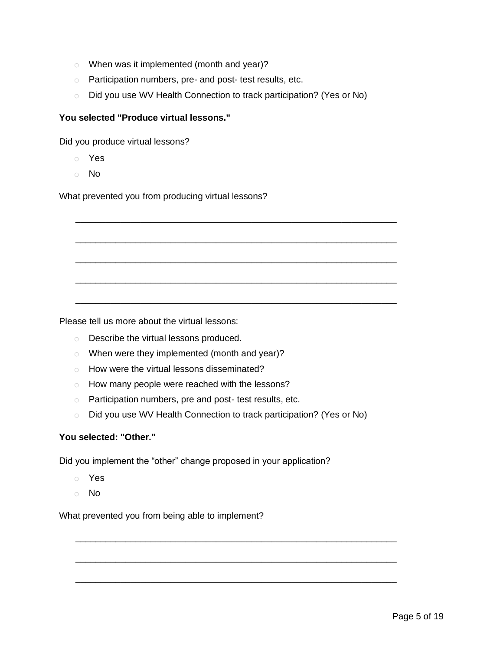- o When was it implemented (month and year)?
- o Participation numbers, pre- and post- test results, etc.
- o Did you use WV Health Connection to track participation? (Yes or No)

\_\_\_\_\_\_\_\_\_\_\_\_\_\_\_\_\_\_\_\_\_\_\_\_\_\_\_\_\_\_\_\_\_\_\_\_\_\_\_\_\_\_\_\_\_\_\_\_\_\_\_\_\_\_\_\_\_\_\_\_\_\_\_\_

\_\_\_\_\_\_\_\_\_\_\_\_\_\_\_\_\_\_\_\_\_\_\_\_\_\_\_\_\_\_\_\_\_\_\_\_\_\_\_\_\_\_\_\_\_\_\_\_\_\_\_\_\_\_\_\_\_\_\_\_\_\_\_\_

\_\_\_\_\_\_\_\_\_\_\_\_\_\_\_\_\_\_\_\_\_\_\_\_\_\_\_\_\_\_\_\_\_\_\_\_\_\_\_\_\_\_\_\_\_\_\_\_\_\_\_\_\_\_\_\_\_\_\_\_\_\_\_\_

\_\_\_\_\_\_\_\_\_\_\_\_\_\_\_\_\_\_\_\_\_\_\_\_\_\_\_\_\_\_\_\_\_\_\_\_\_\_\_\_\_\_\_\_\_\_\_\_\_\_\_\_\_\_\_\_\_\_\_\_\_\_\_\_

\_\_\_\_\_\_\_\_\_\_\_\_\_\_\_\_\_\_\_\_\_\_\_\_\_\_\_\_\_\_\_\_\_\_\_\_\_\_\_\_\_\_\_\_\_\_\_\_\_\_\_\_\_\_\_\_\_\_\_\_\_\_\_\_

## **You selected "Produce virtual lessons."**

Did you produce virtual lessons?

- o Yes
- o No

What prevented you from producing virtual lessons?

Please tell us more about the virtual lessons:

- o Describe the virtual lessons produced.
- o When were they implemented (month and year)?
- o How were the virtual lessons disseminated?
- o How many people were reached with the lessons?
- o Participation numbers, pre and post- test results, etc.
- o Did you use WV Health Connection to track participation? (Yes or No)

\_\_\_\_\_\_\_\_\_\_\_\_\_\_\_\_\_\_\_\_\_\_\_\_\_\_\_\_\_\_\_\_\_\_\_\_\_\_\_\_\_\_\_\_\_\_\_\_\_\_\_\_\_\_\_\_\_\_\_\_\_\_\_\_

\_\_\_\_\_\_\_\_\_\_\_\_\_\_\_\_\_\_\_\_\_\_\_\_\_\_\_\_\_\_\_\_\_\_\_\_\_\_\_\_\_\_\_\_\_\_\_\_\_\_\_\_\_\_\_\_\_\_\_\_\_\_\_\_

\_\_\_\_\_\_\_\_\_\_\_\_\_\_\_\_\_\_\_\_\_\_\_\_\_\_\_\_\_\_\_\_\_\_\_\_\_\_\_\_\_\_\_\_\_\_\_\_\_\_\_\_\_\_\_\_\_\_\_\_\_\_\_\_

## **You selected: "Other."**

Did you implement the "other" change proposed in your application?

- o Yes
- o No

What prevented you from being able to implement?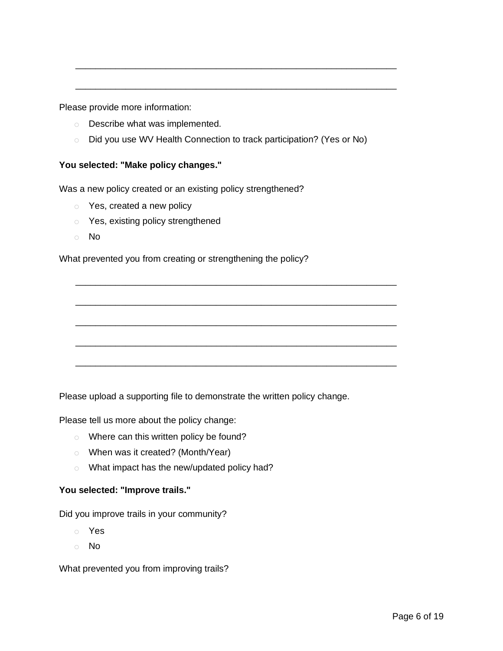Please provide more information:

- o Describe what was implemented.
- o Did you use WV Health Connection to track participation? (Yes or No)

\_\_\_\_\_\_\_\_\_\_\_\_\_\_\_\_\_\_\_\_\_\_\_\_\_\_\_\_\_\_\_\_\_\_\_\_\_\_\_\_\_\_\_\_\_\_\_\_\_\_\_\_\_\_\_\_\_\_\_\_\_\_\_\_

\_\_\_\_\_\_\_\_\_\_\_\_\_\_\_\_\_\_\_\_\_\_\_\_\_\_\_\_\_\_\_\_\_\_\_\_\_\_\_\_\_\_\_\_\_\_\_\_\_\_\_\_\_\_\_\_\_\_\_\_\_\_\_\_

\_\_\_\_\_\_\_\_\_\_\_\_\_\_\_\_\_\_\_\_\_\_\_\_\_\_\_\_\_\_\_\_\_\_\_\_\_\_\_\_\_\_\_\_\_\_\_\_\_\_\_\_\_\_\_\_\_\_\_\_\_\_\_\_

\_\_\_\_\_\_\_\_\_\_\_\_\_\_\_\_\_\_\_\_\_\_\_\_\_\_\_\_\_\_\_\_\_\_\_\_\_\_\_\_\_\_\_\_\_\_\_\_\_\_\_\_\_\_\_\_\_\_\_\_\_\_\_\_

\_\_\_\_\_\_\_\_\_\_\_\_\_\_\_\_\_\_\_\_\_\_\_\_\_\_\_\_\_\_\_\_\_\_\_\_\_\_\_\_\_\_\_\_\_\_\_\_\_\_\_\_\_\_\_\_\_\_\_\_\_\_\_\_

\_\_\_\_\_\_\_\_\_\_\_\_\_\_\_\_\_\_\_\_\_\_\_\_\_\_\_\_\_\_\_\_\_\_\_\_\_\_\_\_\_\_\_\_\_\_\_\_\_\_\_\_\_\_\_\_\_\_\_\_\_\_\_\_

\_\_\_\_\_\_\_\_\_\_\_\_\_\_\_\_\_\_\_\_\_\_\_\_\_\_\_\_\_\_\_\_\_\_\_\_\_\_\_\_\_\_\_\_\_\_\_\_\_\_\_\_\_\_\_\_\_\_\_\_\_\_\_\_

#### **You selected: "Make policy changes."**

Was a new policy created or an existing policy strengthened?

- o Yes, created a new policy
- o Yes, existing policy strengthened
- o No

What prevented you from creating or strengthening the policy?

Please upload a supporting file to demonstrate the written policy change.

Please tell us more about the policy change:

- o Where can this written policy be found?
- o When was it created? (Month/Year)
- o What impact has the new/updated policy had?

#### **You selected: "Improve trails."**

Did you improve trails in your community?

- o Yes
- o No

What prevented you from improving trails?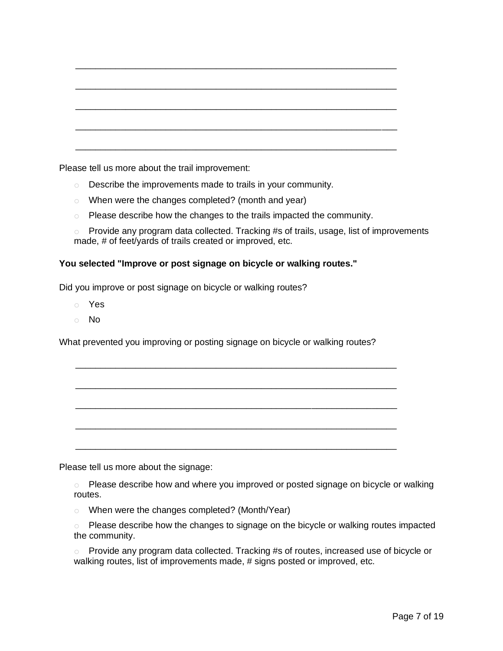|  |  | _____ |
|--|--|-------|
|  |  |       |
|  |  |       |
|  |  |       |

\_\_\_\_\_\_\_\_\_\_\_\_\_\_\_\_\_\_\_\_\_\_\_\_\_\_\_\_\_\_\_\_\_\_\_\_\_\_\_\_\_\_\_\_\_\_\_\_\_\_\_\_\_\_\_\_\_\_\_\_\_\_\_\_

Please tell us more about the trail improvement:

- o Describe the improvements made to trails in your community.
- o When were the changes completed? (month and year)
- o Please describe how the changes to the trails impacted the community.
- o Provide any program data collected. Tracking #s of trails, usage, list of improvements made, # of feet/yards of trails created or improved, etc.

#### **You selected "Improve or post signage on bicycle or walking routes."**

Did you improve or post signage on bicycle or walking routes?

- o Yes
- o No

What prevented you improving or posting signage on bicycle or walking routes?

\_\_\_\_\_\_\_\_\_\_\_\_\_\_\_\_\_\_\_\_\_\_\_\_\_\_\_\_\_\_\_\_\_\_\_\_\_\_\_\_\_\_\_\_\_\_\_\_\_\_\_\_\_\_\_\_\_\_\_\_\_\_\_\_

\_\_\_\_\_\_\_\_\_\_\_\_\_\_\_\_\_\_\_\_\_\_\_\_\_\_\_\_\_\_\_\_\_\_\_\_\_\_\_\_\_\_\_\_\_\_\_\_\_\_\_\_\_\_\_\_\_\_\_\_\_\_\_\_

\_\_\_\_\_\_\_\_\_\_\_\_\_\_\_\_\_\_\_\_\_\_\_\_\_\_\_\_\_\_\_\_\_\_\_\_\_\_\_\_\_\_\_\_\_\_\_\_\_\_\_\_\_\_\_\_\_\_\_\_\_\_\_\_

\_\_\_\_\_\_\_\_\_\_\_\_\_\_\_\_\_\_\_\_\_\_\_\_\_\_\_\_\_\_\_\_\_\_\_\_\_\_\_\_\_\_\_\_\_\_\_\_\_\_\_\_\_\_\_\_\_\_\_\_\_\_\_\_

\_\_\_\_\_\_\_\_\_\_\_\_\_\_\_\_\_\_\_\_\_\_\_\_\_\_\_\_\_\_\_\_\_\_\_\_\_\_\_\_\_\_\_\_\_\_\_\_\_\_\_\_\_\_\_\_\_\_\_\_\_\_\_\_

Please tell us more about the signage:

 $\circ$  Please describe how and where you improved or posted signage on bicycle or walking routes.

o When were the changes completed? (Month/Year)

 $\circ$  Please describe how the changes to signage on the bicycle or walking routes impacted the community.

o Provide any program data collected. Tracking #s of routes, increased use of bicycle or walking routes, list of improvements made, # signs posted or improved, etc.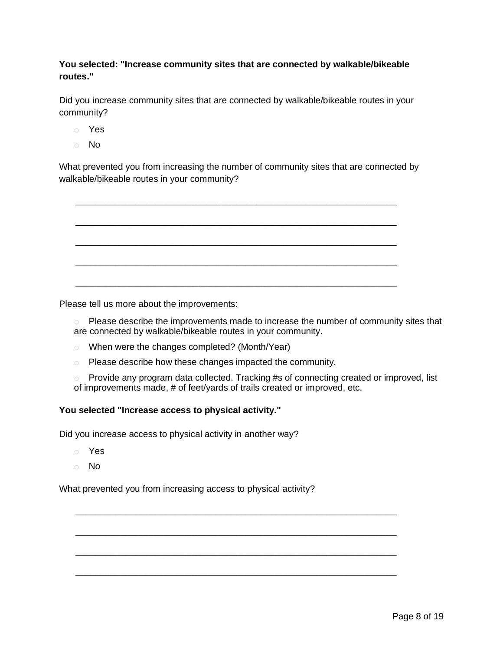# **You selected: "Increase community sites that are connected by walkable/bikeable routes."**

Did you increase community sites that are connected by walkable/bikeable routes in your community?

- o Yes
- o No

What prevented you from increasing the number of community sites that are connected by walkable/bikeable routes in your community?



Please tell us more about the improvements:

o Please describe the improvements made to increase the number of community sites that are connected by walkable/bikeable routes in your community.

- o When were the changes completed? (Month/Year)
- o Please describe how these changes impacted the community.
- o Provide any program data collected. Tracking #s of connecting created or improved, list of improvements made, # of feet/yards of trails created or improved, etc.

\_\_\_\_\_\_\_\_\_\_\_\_\_\_\_\_\_\_\_\_\_\_\_\_\_\_\_\_\_\_\_\_\_\_\_\_\_\_\_\_\_\_\_\_\_\_\_\_\_\_\_\_\_\_\_\_\_\_\_\_\_\_\_\_

\_\_\_\_\_\_\_\_\_\_\_\_\_\_\_\_\_\_\_\_\_\_\_\_\_\_\_\_\_\_\_\_\_\_\_\_\_\_\_\_\_\_\_\_\_\_\_\_\_\_\_\_\_\_\_\_\_\_\_\_\_\_\_\_

\_\_\_\_\_\_\_\_\_\_\_\_\_\_\_\_\_\_\_\_\_\_\_\_\_\_\_\_\_\_\_\_\_\_\_\_\_\_\_\_\_\_\_\_\_\_\_\_\_\_\_\_\_\_\_\_\_\_\_\_\_\_\_\_

\_\_\_\_\_\_\_\_\_\_\_\_\_\_\_\_\_\_\_\_\_\_\_\_\_\_\_\_\_\_\_\_\_\_\_\_\_\_\_\_\_\_\_\_\_\_\_\_\_\_\_\_\_\_\_\_\_\_\_\_\_\_\_\_

## **You selected "Increase access to physical activity."**

Did you increase access to physical activity in another way?

- o Yes
- o No

What prevented you from increasing access to physical activity?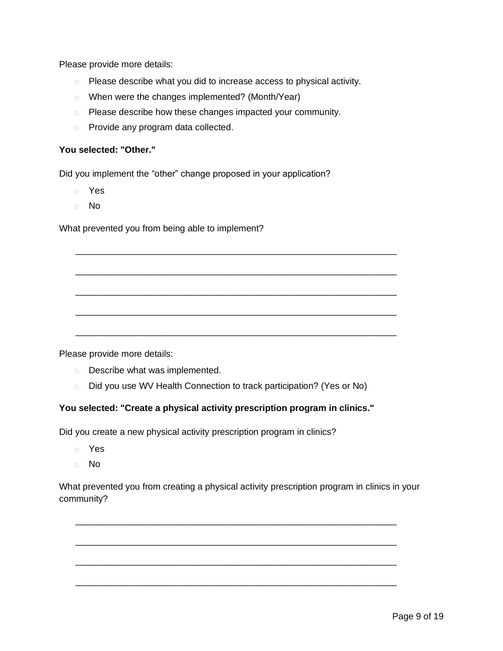Please provide more details:

- o Please describe what you did to increase access to physical activity.
- o When were the changes implemented? (Month/Year)
- o Please describe how these changes impacted your community.
- o Provide any program data collected.

## **You selected: "Other."**

Did you implement the "other" change proposed in your application?

- o Yes
- o No

What prevented you from being able to implement?

Please provide more details:

- o Describe what was implemented.
- o Did you use WV Health Connection to track participation? (Yes or No)

\_\_\_\_\_\_\_\_\_\_\_\_\_\_\_\_\_\_\_\_\_\_\_\_\_\_\_\_\_\_\_\_\_\_\_\_\_\_\_\_\_\_\_\_\_\_\_\_\_\_\_\_\_\_\_\_\_\_\_\_\_\_\_\_

\_\_\_\_\_\_\_\_\_\_\_\_\_\_\_\_\_\_\_\_\_\_\_\_\_\_\_\_\_\_\_\_\_\_\_\_\_\_\_\_\_\_\_\_\_\_\_\_\_\_\_\_\_\_\_\_\_\_\_\_\_\_\_\_

\_\_\_\_\_\_\_\_\_\_\_\_\_\_\_\_\_\_\_\_\_\_\_\_\_\_\_\_\_\_\_\_\_\_\_\_\_\_\_\_\_\_\_\_\_\_\_\_\_\_\_\_\_\_\_\_\_\_\_\_\_\_\_\_

\_\_\_\_\_\_\_\_\_\_\_\_\_\_\_\_\_\_\_\_\_\_\_\_\_\_\_\_\_\_\_\_\_\_\_\_\_\_\_\_\_\_\_\_\_\_\_\_\_\_\_\_\_\_\_\_\_\_\_\_\_\_\_\_

\_\_\_\_\_\_\_\_\_\_\_\_\_\_\_\_\_\_\_\_\_\_\_\_\_\_\_\_\_\_\_\_\_\_\_\_\_\_\_\_\_\_\_\_\_\_\_\_\_\_\_\_\_\_\_\_\_\_\_\_\_\_\_\_

## **You selected: "Create a physical activity prescription program in clinics."**

Did you create a new physical activity prescription program in clinics?

- o Yes
- o No

What prevented you from creating a physical activity prescription program in clinics in your community?

\_\_\_\_\_\_\_\_\_\_\_\_\_\_\_\_\_\_\_\_\_\_\_\_\_\_\_\_\_\_\_\_\_\_\_\_\_\_\_\_\_\_\_\_\_\_\_\_\_\_\_\_\_\_\_\_\_\_\_\_\_\_\_\_

\_\_\_\_\_\_\_\_\_\_\_\_\_\_\_\_\_\_\_\_\_\_\_\_\_\_\_\_\_\_\_\_\_\_\_\_\_\_\_\_\_\_\_\_\_\_\_\_\_\_\_\_\_\_\_\_\_\_\_\_\_\_\_\_

\_\_\_\_\_\_\_\_\_\_\_\_\_\_\_\_\_\_\_\_\_\_\_\_\_\_\_\_\_\_\_\_\_\_\_\_\_\_\_\_\_\_\_\_\_\_\_\_\_\_\_\_\_\_\_\_\_\_\_\_\_\_\_\_

\_\_\_\_\_\_\_\_\_\_\_\_\_\_\_\_\_\_\_\_\_\_\_\_\_\_\_\_\_\_\_\_\_\_\_\_\_\_\_\_\_\_\_\_\_\_\_\_\_\_\_\_\_\_\_\_\_\_\_\_\_\_\_\_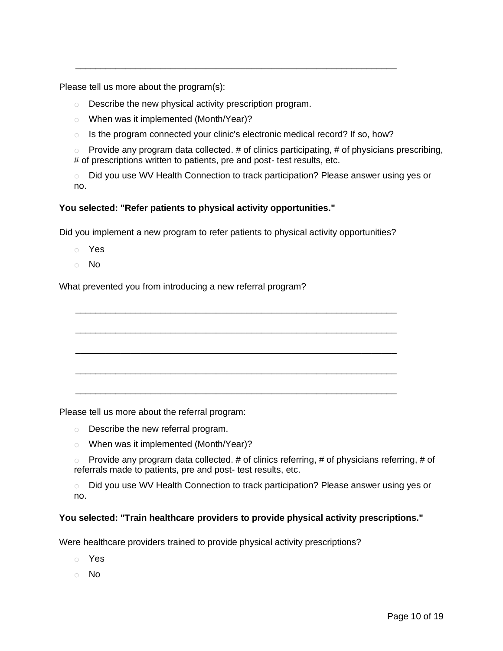Please tell us more about the program(s):

- o Describe the new physical activity prescription program.
- o When was it implemented (Month/Year)?
- $\circ$  Is the program connected your clinic's electronic medical record? If so, how?

\_\_\_\_\_\_\_\_\_\_\_\_\_\_\_\_\_\_\_\_\_\_\_\_\_\_\_\_\_\_\_\_\_\_\_\_\_\_\_\_\_\_\_\_\_\_\_\_\_\_\_\_\_\_\_\_\_\_\_\_\_\_\_\_

 $\circ$  Provide any program data collected. # of clinics participating, # of physicians prescribing, # of prescriptions written to patients, pre and post- test results, etc.

o Did you use WV Health Connection to track participation? Please answer using yes or no.

## **You selected: "Refer patients to physical activity opportunities."**

Did you implement a new program to refer patients to physical activity opportunities?

\_\_\_\_\_\_\_\_\_\_\_\_\_\_\_\_\_\_\_\_\_\_\_\_\_\_\_\_\_\_\_\_\_\_\_\_\_\_\_\_\_\_\_\_\_\_\_\_\_\_\_\_\_\_\_\_\_\_\_\_\_\_\_\_

\_\_\_\_\_\_\_\_\_\_\_\_\_\_\_\_\_\_\_\_\_\_\_\_\_\_\_\_\_\_\_\_\_\_\_\_\_\_\_\_\_\_\_\_\_\_\_\_\_\_\_\_\_\_\_\_\_\_\_\_\_\_\_\_

\_\_\_\_\_\_\_\_\_\_\_\_\_\_\_\_\_\_\_\_\_\_\_\_\_\_\_\_\_\_\_\_\_\_\_\_\_\_\_\_\_\_\_\_\_\_\_\_\_\_\_\_\_\_\_\_\_\_\_\_\_\_\_\_

\_\_\_\_\_\_\_\_\_\_\_\_\_\_\_\_\_\_\_\_\_\_\_\_\_\_\_\_\_\_\_\_\_\_\_\_\_\_\_\_\_\_\_\_\_\_\_\_\_\_\_\_\_\_\_\_\_\_\_\_\_\_\_\_

\_\_\_\_\_\_\_\_\_\_\_\_\_\_\_\_\_\_\_\_\_\_\_\_\_\_\_\_\_\_\_\_\_\_\_\_\_\_\_\_\_\_\_\_\_\_\_\_\_\_\_\_\_\_\_\_\_\_\_\_\_\_\_\_

- o Yes
- o No

What prevented you from introducing a new referral program?

Please tell us more about the referral program:

- o Describe the new referral program.
- o When was it implemented (Month/Year)?

 $\circ$  Provide any program data collected. # of clinics referring, # of physicians referring, # of referrals made to patients, pre and post- test results, etc.

o Did you use WV Health Connection to track participation? Please answer using yes or no.

#### **You selected: "Train healthcare providers to provide physical activity prescriptions."**

Were healthcare providers trained to provide physical activity prescriptions?

- o Yes
- o No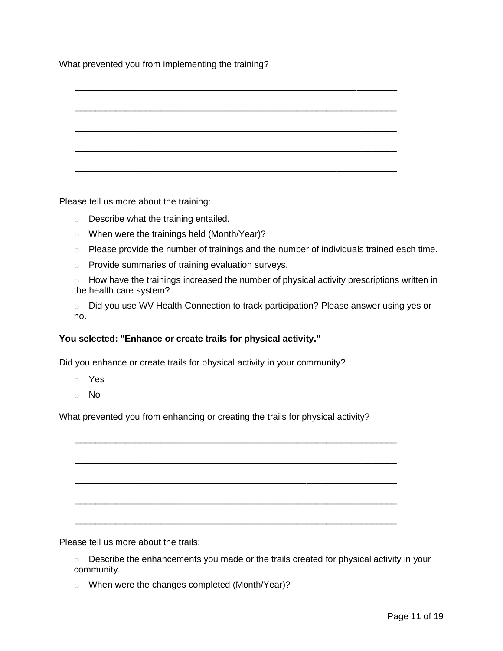What prevented you from implementing the training?



Please tell us more about the training:

- o Describe what the training entailed.
- o When were the trainings held (Month/Year)?
- $\circ$  Please provide the number of trainings and the number of individuals trained each time.
- o Provide summaries of training evaluation surveys.
- o How have the trainings increased the number of physical activity prescriptions written in the health care system?
- o Did you use WV Health Connection to track participation? Please answer using yes or no.

#### **You selected: "Enhance or create trails for physical activity."**

Did you enhance or create trails for physical activity in your community?

- o Yes
- o No

What prevented you from enhancing or creating the trails for physical activity?

\_\_\_\_\_\_\_\_\_\_\_\_\_\_\_\_\_\_\_\_\_\_\_\_\_\_\_\_\_\_\_\_\_\_\_\_\_\_\_\_\_\_\_\_\_\_\_\_\_\_\_\_\_\_\_\_\_\_\_\_\_\_\_\_

\_\_\_\_\_\_\_\_\_\_\_\_\_\_\_\_\_\_\_\_\_\_\_\_\_\_\_\_\_\_\_\_\_\_\_\_\_\_\_\_\_\_\_\_\_\_\_\_\_\_\_\_\_\_\_\_\_\_\_\_\_\_\_\_

\_\_\_\_\_\_\_\_\_\_\_\_\_\_\_\_\_\_\_\_\_\_\_\_\_\_\_\_\_\_\_\_\_\_\_\_\_\_\_\_\_\_\_\_\_\_\_\_\_\_\_\_\_\_\_\_\_\_\_\_\_\_\_\_

\_\_\_\_\_\_\_\_\_\_\_\_\_\_\_\_\_\_\_\_\_\_\_\_\_\_\_\_\_\_\_\_\_\_\_\_\_\_\_\_\_\_\_\_\_\_\_\_\_\_\_\_\_\_\_\_\_\_\_\_\_\_\_\_

\_\_\_\_\_\_\_\_\_\_\_\_\_\_\_\_\_\_\_\_\_\_\_\_\_\_\_\_\_\_\_\_\_\_\_\_\_\_\_\_\_\_\_\_\_\_\_\_\_\_\_\_\_\_\_\_\_\_\_\_\_\_\_\_

Please tell us more about the trails:

- o Describe the enhancements you made or the trails created for physical activity in your community.
- o When were the changes completed (Month/Year)?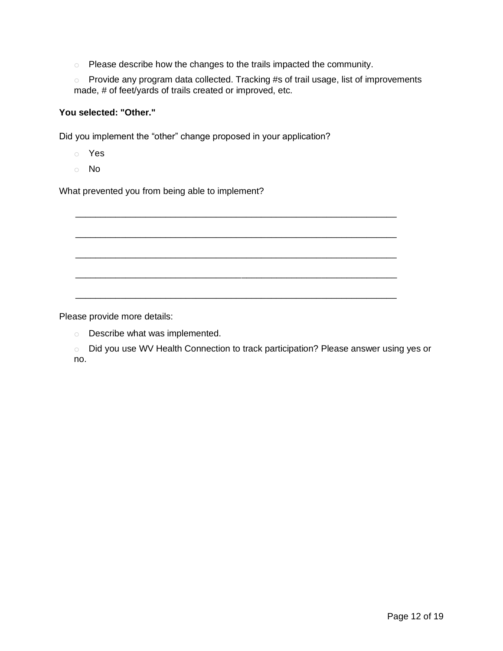- o Please describe how the changes to the trails impacted the community.
- o Provide any program data collected. Tracking #s of trail usage, list of improvements made, # of feet/yards of trails created or improved, etc.

\_\_\_\_\_\_\_\_\_\_\_\_\_\_\_\_\_\_\_\_\_\_\_\_\_\_\_\_\_\_\_\_\_\_\_\_\_\_\_\_\_\_\_\_\_\_\_\_\_\_\_\_\_\_\_\_\_\_\_\_\_\_\_\_

\_\_\_\_\_\_\_\_\_\_\_\_\_\_\_\_\_\_\_\_\_\_\_\_\_\_\_\_\_\_\_\_\_\_\_\_\_\_\_\_\_\_\_\_\_\_\_\_\_\_\_\_\_\_\_\_\_\_\_\_\_\_\_\_

\_\_\_\_\_\_\_\_\_\_\_\_\_\_\_\_\_\_\_\_\_\_\_\_\_\_\_\_\_\_\_\_\_\_\_\_\_\_\_\_\_\_\_\_\_\_\_\_\_\_\_\_\_\_\_\_\_\_\_\_\_\_\_\_

\_\_\_\_\_\_\_\_\_\_\_\_\_\_\_\_\_\_\_\_\_\_\_\_\_\_\_\_\_\_\_\_\_\_\_\_\_\_\_\_\_\_\_\_\_\_\_\_\_\_\_\_\_\_\_\_\_\_\_\_\_\_\_\_

\_\_\_\_\_\_\_\_\_\_\_\_\_\_\_\_\_\_\_\_\_\_\_\_\_\_\_\_\_\_\_\_\_\_\_\_\_\_\_\_\_\_\_\_\_\_\_\_\_\_\_\_\_\_\_\_\_\_\_\_\_\_\_\_

#### **You selected: "Other."**

Did you implement the "other" change proposed in your application?

- o Yes
- o No

What prevented you from being able to implement?

Please provide more details:

- o Describe what was implemented.
- o Did you use WV Health Connection to track participation? Please answer using yes or no.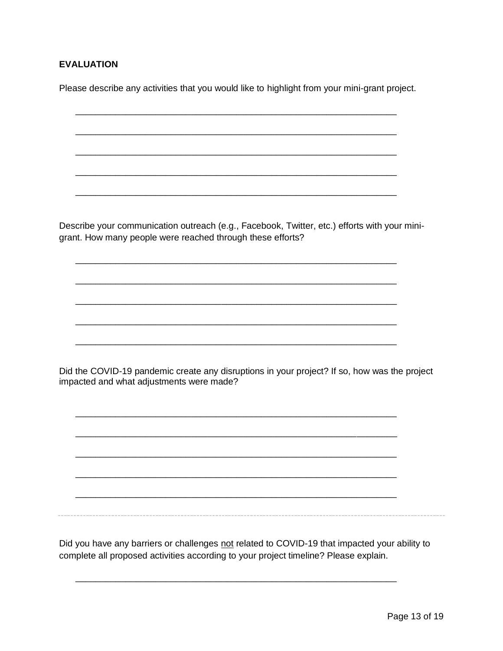# **EVALUATION**

Please describe any activities that you would like to highlight from your mini-grant project.

\_\_\_\_\_\_\_\_\_\_\_\_\_\_\_\_\_\_\_\_\_\_\_\_\_\_\_\_\_\_\_\_\_\_\_\_\_\_\_\_\_\_\_\_\_\_\_\_\_\_\_\_\_\_\_\_\_\_\_\_\_\_\_\_

\_\_\_\_\_\_\_\_\_\_\_\_\_\_\_\_\_\_\_\_\_\_\_\_\_\_\_\_\_\_\_\_\_\_\_\_\_\_\_\_\_\_\_\_\_\_\_\_\_\_\_\_\_\_\_\_\_\_\_\_\_\_\_\_

\_\_\_\_\_\_\_\_\_\_\_\_\_\_\_\_\_\_\_\_\_\_\_\_\_\_\_\_\_\_\_\_\_\_\_\_\_\_\_\_\_\_\_\_\_\_\_\_\_\_\_\_\_\_\_\_\_\_\_\_\_\_\_\_

\_\_\_\_\_\_\_\_\_\_\_\_\_\_\_\_\_\_\_\_\_\_\_\_\_\_\_\_\_\_\_\_\_\_\_\_\_\_\_\_\_\_\_\_\_\_\_\_\_\_\_\_\_\_\_\_\_\_\_\_\_\_\_\_

\_\_\_\_\_\_\_\_\_\_\_\_\_\_\_\_\_\_\_\_\_\_\_\_\_\_\_\_\_\_\_\_\_\_\_\_\_\_\_\_\_\_\_\_\_\_\_\_\_\_\_\_\_\_\_\_\_\_\_\_\_\_\_\_

Describe your communication outreach (e.g., Facebook, Twitter, etc.) efforts with your minigrant. How many people were reached through these efforts?

\_\_\_\_\_\_\_\_\_\_\_\_\_\_\_\_\_\_\_\_\_\_\_\_\_\_\_\_\_\_\_\_\_\_\_\_\_\_\_\_\_\_\_\_\_\_\_\_\_\_\_\_\_\_\_\_\_\_\_\_\_\_\_\_

\_\_\_\_\_\_\_\_\_\_\_\_\_\_\_\_\_\_\_\_\_\_\_\_\_\_\_\_\_\_\_\_\_\_\_\_\_\_\_\_\_\_\_\_\_\_\_\_\_\_\_\_\_\_\_\_\_\_\_\_\_\_\_\_

\_\_\_\_\_\_\_\_\_\_\_\_\_\_\_\_\_\_\_\_\_\_\_\_\_\_\_\_\_\_\_\_\_\_\_\_\_\_\_\_\_\_\_\_\_\_\_\_\_\_\_\_\_\_\_\_\_\_\_\_\_\_\_\_

\_\_\_\_\_\_\_\_\_\_\_\_\_\_\_\_\_\_\_\_\_\_\_\_\_\_\_\_\_\_\_\_\_\_\_\_\_\_\_\_\_\_\_\_\_\_\_\_\_\_\_\_\_\_\_\_\_\_\_\_\_\_\_\_

\_\_\_\_\_\_\_\_\_\_\_\_\_\_\_\_\_\_\_\_\_\_\_\_\_\_\_\_\_\_\_\_\_\_\_\_\_\_\_\_\_\_\_\_\_\_\_\_\_\_\_\_\_\_\_\_\_\_\_\_\_\_\_\_

\_\_\_\_\_\_\_\_\_\_\_\_\_\_\_\_\_\_\_\_\_\_\_\_\_\_\_\_\_\_\_\_\_\_\_\_\_\_\_\_\_\_\_\_\_\_\_\_\_\_\_\_\_\_\_\_\_\_\_\_\_\_\_\_

\_\_\_\_\_\_\_\_\_\_\_\_\_\_\_\_\_\_\_\_\_\_\_\_\_\_\_\_\_\_\_\_\_\_\_\_\_\_\_\_\_\_\_\_\_\_\_\_\_\_\_\_\_\_\_\_\_\_\_\_\_\_\_\_

\_\_\_\_\_\_\_\_\_\_\_\_\_\_\_\_\_\_\_\_\_\_\_\_\_\_\_\_\_\_\_\_\_\_\_\_\_\_\_\_\_\_\_\_\_\_\_\_\_\_\_\_\_\_\_\_\_\_\_\_\_\_\_\_

\_\_\_\_\_\_\_\_\_\_\_\_\_\_\_\_\_\_\_\_\_\_\_\_\_\_\_\_\_\_\_\_\_\_\_\_\_\_\_\_\_\_\_\_\_\_\_\_\_\_\_\_\_\_\_\_\_\_\_\_\_\_\_\_

\_\_\_\_\_\_\_\_\_\_\_\_\_\_\_\_\_\_\_\_\_\_\_\_\_\_\_\_\_\_\_\_\_\_\_\_\_\_\_\_\_\_\_\_\_\_\_\_\_\_\_\_\_\_\_\_\_\_\_\_\_\_\_\_

Did the COVID-19 pandemic create any disruptions in your project? If so, how was the project impacted and what adjustments were made?

Did you have any barriers or challenges not related to COVID-19 that impacted your ability to complete all proposed activities according to your project timeline? Please explain.

\_\_\_\_\_\_\_\_\_\_\_\_\_\_\_\_\_\_\_\_\_\_\_\_\_\_\_\_\_\_\_\_\_\_\_\_\_\_\_\_\_\_\_\_\_\_\_\_\_\_\_\_\_\_\_\_\_\_\_\_\_\_\_\_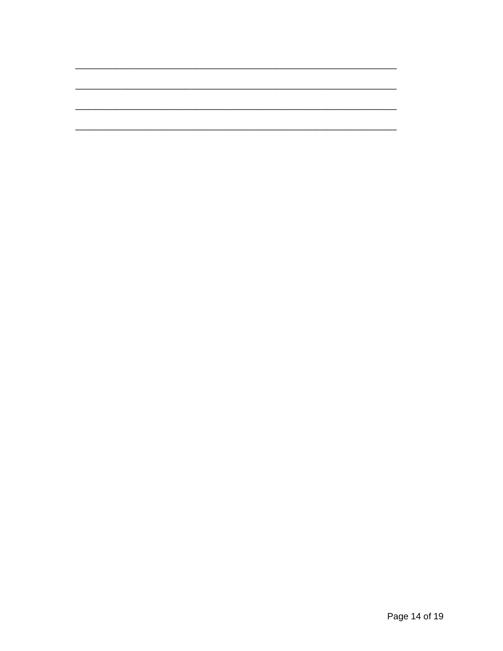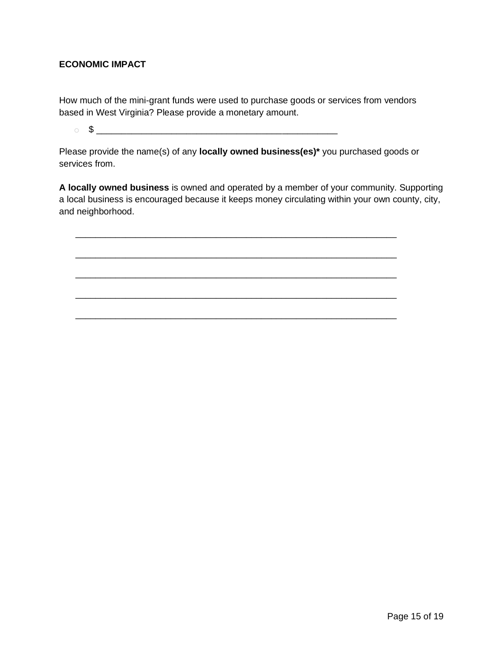# **ECONOMIC IMPACT**

How much of the mini-grant funds were used to purchase goods or services from vendors based in West Virginia? Please provide a monetary amount.

 $\circ$  \$

Please provide the name(s) of any **locally owned business(es)\*** you purchased goods or services from.

\_\_\_\_\_\_\_\_\_\_\_\_\_\_\_\_\_\_\_\_\_\_\_\_\_\_\_\_\_\_\_\_\_\_\_\_\_\_\_\_\_\_\_\_\_\_\_\_\_\_\_\_\_\_\_\_\_\_\_\_\_\_\_\_

\_\_\_\_\_\_\_\_\_\_\_\_\_\_\_\_\_\_\_\_\_\_\_\_\_\_\_\_\_\_\_\_\_\_\_\_\_\_\_\_\_\_\_\_\_\_\_\_\_\_\_\_\_\_\_\_\_\_\_\_\_\_\_\_

\_\_\_\_\_\_\_\_\_\_\_\_\_\_\_\_\_\_\_\_\_\_\_\_\_\_\_\_\_\_\_\_\_\_\_\_\_\_\_\_\_\_\_\_\_\_\_\_\_\_\_\_\_\_\_\_\_\_\_\_\_\_\_\_

\_\_\_\_\_\_\_\_\_\_\_\_\_\_\_\_\_\_\_\_\_\_\_\_\_\_\_\_\_\_\_\_\_\_\_\_\_\_\_\_\_\_\_\_\_\_\_\_\_\_\_\_\_\_\_\_\_\_\_\_\_\_\_\_

\_\_\_\_\_\_\_\_\_\_\_\_\_\_\_\_\_\_\_\_\_\_\_\_\_\_\_\_\_\_\_\_\_\_\_\_\_\_\_\_\_\_\_\_\_\_\_\_\_\_\_\_\_\_\_\_\_\_\_\_\_\_\_\_

**A locally owned business** is owned and operated by a member of your community. Supporting a local business is encouraged because it keeps money circulating within your own county, city, and neighborhood.

Page 15 of 19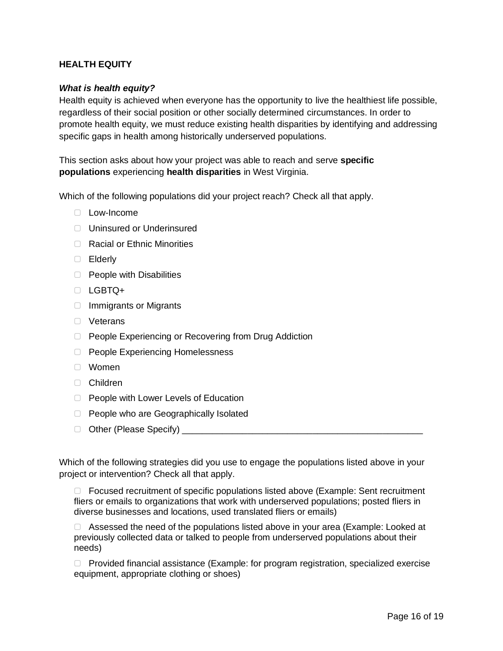## **HEALTH EQUITY**

#### *What is health equity?*

Health equity is achieved when everyone has the opportunity to live the healthiest life possible, regardless of their social position or other socially determined circumstances. In order to promote health equity, we must reduce existing health disparities by identifying and addressing specific gaps in health among historically underserved populations.

This section asks about how your project was able to reach and serve **specific populations** experiencing **health disparities** in West Virginia.

Which of the following populations did your project reach? Check all that apply.

- ▢ Low-Income
- ▢ Uninsured or Underinsured
- □ Racial or Ethnic Minorities
- ▢ Elderly
- □ People with Disabilities
- ▢ LGBTQ+
- ▢ Immigrants or Migrants
- ▢ Veterans
- ▢ People Experiencing or Recovering from Drug Addiction
- ▢ People Experiencing Homelessness
- ▢ Women
- ▢ Children
- ▢ People with Lower Levels of Education
- ▢ People who are Geographically Isolated
- □ Other (Please Specify) \_

Which of the following strategies did you use to engage the populations listed above in your project or intervention? Check all that apply.

▢ Focused recruitment of specific populations listed above (Example: Sent recruitment fliers or emails to organizations that work with underserved populations; posted fliers in diverse businesses and locations, used translated fliers or emails)

 $\Box$  Assessed the need of the populations listed above in your area (Example: Looked at previously collected data or talked to people from underserved populations about their needs)

▢ Provided financial assistance (Example: for program registration, specialized exercise equipment, appropriate clothing or shoes)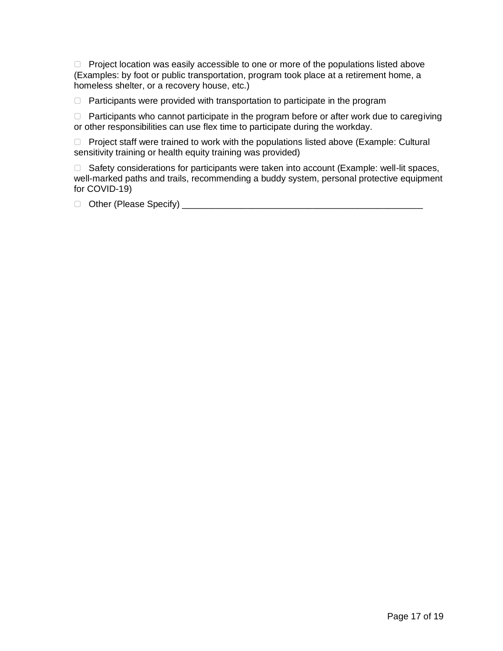$\Box$  Project location was easily accessible to one or more of the populations listed above (Examples: by foot or public transportation, program took place at a retirement home, a homeless shelter, or a recovery house, etc.)

 $\Box$  Participants were provided with transportation to participate in the program

▢ Participants who cannot participate in the program before or after work due to caregiving or other responsibilities can use flex time to participate during the workday.

▢ Project staff were trained to work with the populations listed above (Example: Cultural sensitivity training or health equity training was provided)

▢ Safety considerations for participants were taken into account (Example: well-lit spaces, well-marked paths and trails, recommending a buddy system, personal protective equipment for COVID-19)

▢ Other (Please Specify) \_\_\_\_\_\_\_\_\_\_\_\_\_\_\_\_\_\_\_\_\_\_\_\_\_\_\_\_\_\_\_\_\_\_\_\_\_\_\_\_\_\_\_\_\_\_\_\_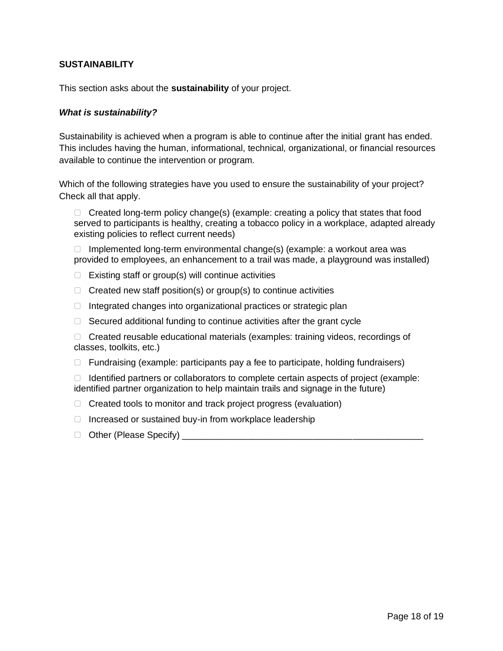### **SUSTAINABILITY**

This section asks about the **sustainability** of your project.

#### *What is sustainability?*

Sustainability is achieved when a program is able to continue after the initial grant has ended. This includes having the human, informational, technical, organizational, or financial resources available to continue the intervention or program.

Which of the following strategies have you used to ensure the sustainability of your project? Check all that apply.

▢ Created long-term policy change(s) (example: creating a policy that states that food served to participants is healthy, creating a tobacco policy in a workplace, adapted already existing policies to reflect current needs)

▢ Implemented long-term environmental change(s) (example: a workout area was provided to employees, an enhancement to a trail was made, a playground was installed)

- ▢ Existing staff or group(s) will continue activities
- $\Box$  Created new staff position(s) or group(s) to continue activities
- ▢ Integrated changes into organizational practices or strategic plan
- ▢ Secured additional funding to continue activities after the grant cycle

▢ Created reusable educational materials (examples: training videos, recordings of classes, toolkits, etc.)

 $\Box$  Fundraising (example: participants pay a fee to participate, holding fundraisers)

 $\Box$  Identified partners or collaborators to complete certain aspects of project (example: identified partner organization to help maintain trails and signage in the future)

- ▢ Created tools to monitor and track project progress (evaluation)
- ▢ Increased or sustained buy-in from workplace leadership
- ▢ Other (Please Specify) \_\_\_\_\_\_\_\_\_\_\_\_\_\_\_\_\_\_\_\_\_\_\_\_\_\_\_\_\_\_\_\_\_\_\_\_\_\_\_\_\_\_\_\_\_\_\_\_